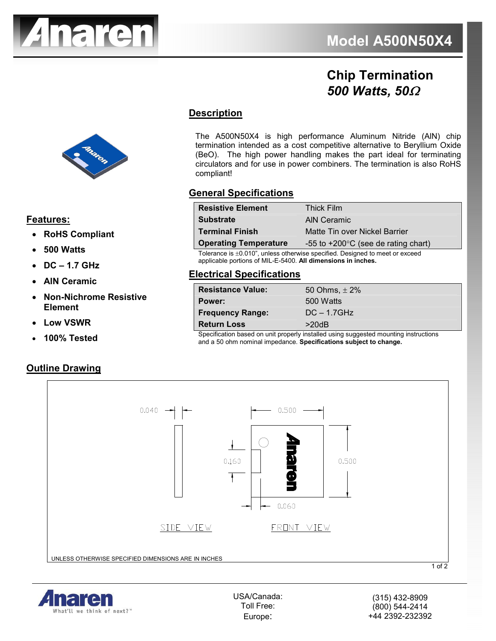

# **Chip Termination**  *500 Watts, 50*Ω

## **Description**

The A500N50X4 is high performance Aluminum Nitride (AlN) chip termination intended as a cost competitive alternative to Beryllium Oxide (BeO). The high power handling makes the part ideal for terminating circulators and for use in power combiners. The termination is also RoHS compliant!

#### **General Specifications**

| <b>Substrate</b><br><b>AIN Ceramic</b>                                        |  |
|-------------------------------------------------------------------------------|--|
| <b>Terminal Finish</b><br>Matte Tin over Nickel Barrier                       |  |
| <b>Operating Temperature</b><br>-55 to $+200^{\circ}$ C (see de rating chart) |  |

Tolerance is ±0.010", unless otherwise specified. Designed to meet or exceed applicable portions of MIL-E-5400. **All dimensions in inches.**

#### **Electrical Specifications**

| <b>Resistance Value:</b> | 50 Ohms, $\pm 2\%$ |
|--------------------------|--------------------|
| Power:                   | 500 Watts          |
| <b>Frequency Range:</b>  | $DC - 1.7GHz$      |
| <b>Return Loss</b>       | >20dB              |

Specification based on unit properly installed using suggested mounting instructions and a 50 ohm nominal impedance. **Specifications subject to change.**





USA/Canada: Toll Free: Europe:



#### **Features:**

- **RoHS Compliant**
- **500 Watts**
- **DC 1.7 GHz**
- **AlN Ceramic**
- **Non-Nichrome Resistive Element**
- **Low VSWR**
- **100% Tested**

#### **Outline Drawing**